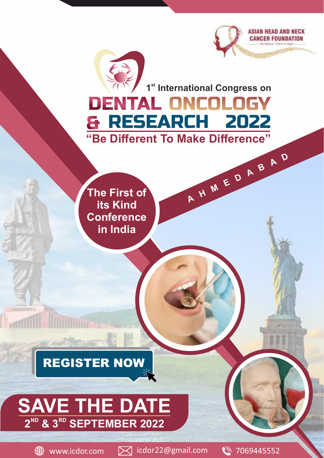

**The First of its Kind Conference in India**

## [REGISTER NOW](http://www.icdor.com/registration.html)

# **SAVE THE DATE ND RD 2 & 3 SEPTEMBER 2022**

**PERMITTENED !!!** 



 $\circledR$  www.icdor.com  $\bowtie$  icdor22@gmail.com  $\circledR$  7069445552

**ASIAN HEAD AND NECK CANCER FOUNDATION**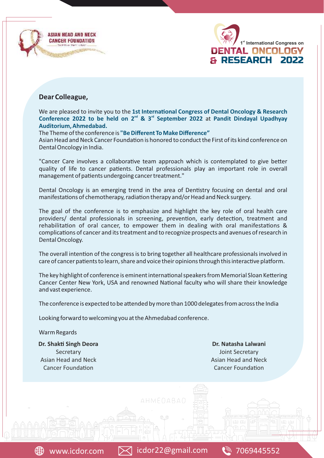



### **Dear Colleague,**

We are pleased to invite you to the 1st International Congress of Dental Oncology & Research Conference 2022 to be held on 2<sup>nd</sup> & 3<sup>rd</sup> September 2022 at Pandit Dindayal Upadhyay **Auditorium, Ahmedabad.**

#### The Theme of the conference is **"Be Different To Make Difference"**

Asian Head and Neck Cancer Foundation is honored to conduct the First of its kind conference on Dental Oncology in India.

"Cancer Care involves a collaborative team approach which is contemplated to give better quality of life to cancer patients. Dental professionals play an important role in overall management of patients undergoing cancer treatment."

Dental Oncology is an emerging trend in the area of Dentistry focusing on dental and oral manifestations of chemotherapy, radiation therapy and/or Head and Neck surgery.

The goal of the conference is to emphasize and highlight the key role of oral health care providers/ dental professionals in screening, prevention, early detection, treatment and rehabilitation of oral cancer, to empower them in dealing with oral manifestations  $\&$ complications of cancer and its treatment and to recognize prospects and avenues of research in Dental Oncology.

The overall intention of the congress is to bring together all healthcare professionals involved in care of cancer patients to learn, share and voice their opinions through this interactive platform.

The key highlight of conference is eminent international speakers from Memorial Sloan Kettering Cancer Center New York, USA and renowned National faculty who will share their knowledge and vast experience.

The conference is expected to be attended by more than 1000 delegates from across the India

AHMEOABAO

Looking forward to welcoming you at the Ahmedabad conference.

Warm Regards

**Dr. Shakti Singh Deora** Secretary Asian Head and Neck **Cancer Foundation** 

**Dr. Natasha Lalwani** Joint Secretary Asian Head and Neck Cancer Foundation

中午